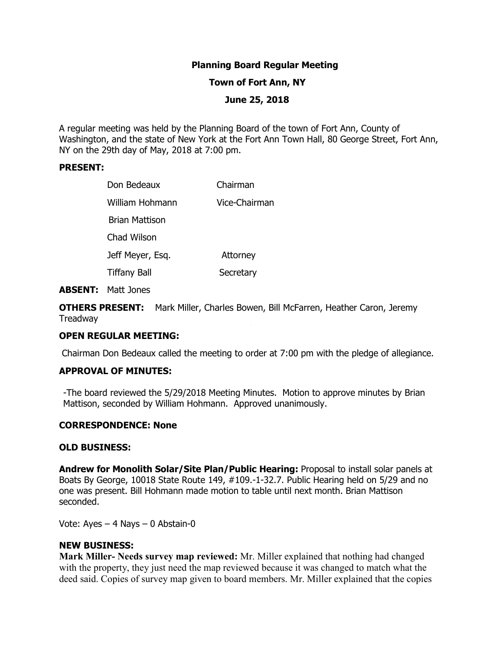# **Planning Board Regular Meeting**

### **Town of Fort Ann, NY**

## **June 25, 2018**

A regular meeting was held by the Planning Board of the town of Fort Ann, County of Washington, and the state of New York at the Fort Ann Town Hall, 80 George Street, Fort Ann, NY on the 29th day of May, 2018 at 7:00 pm.

### **PRESENT:**

| Don Bedeaux         |  | Chairman      |
|---------------------|--|---------------|
| William Hohmann     |  | Vice-Chairman |
| Brian Mattison      |  |               |
| Chad Wilson         |  |               |
| Jeff Meyer, Esq.    |  | Attorney      |
| <b>Tiffany Ball</b> |  | Secretary     |

#### **ABSENT:** Matt Jones

**OTHERS PRESENT:** Mark Miller, Charles Bowen, Bill McFarren, Heather Caron, Jeremy **Treadway** 

# **OPEN REGULAR MEETING:**

Chairman Don Bedeaux called the meeting to order at 7:00 pm with the pledge of allegiance.

## **APPROVAL OF MINUTES:**

-The board reviewed the 5/29/2018 Meeting Minutes. Motion to approve minutes by Brian Mattison, seconded by William Hohmann. Approved unanimously.

## **CORRESPONDENCE: None**

#### **OLD BUSINESS:**

**Andrew for Monolith Solar/Site Plan/Public Hearing:** Proposal to install solar panels at Boats By George, 10018 State Route 149, #109.-1-32.7. Public Hearing held on 5/29 and no one was present. Bill Hohmann made motion to table until next month. Brian Mattison seconded.

Vote: Ayes – 4 Nays – 0 Abstain-0

#### **NEW BUSINESS:**

**Mark Miller- Needs survey map reviewed:** Mr. Miller explained that nothing had changed with the property, they just need the map reviewed because it was changed to match what the deed said. Copies of survey map given to board members. Mr. Miller explained that the copies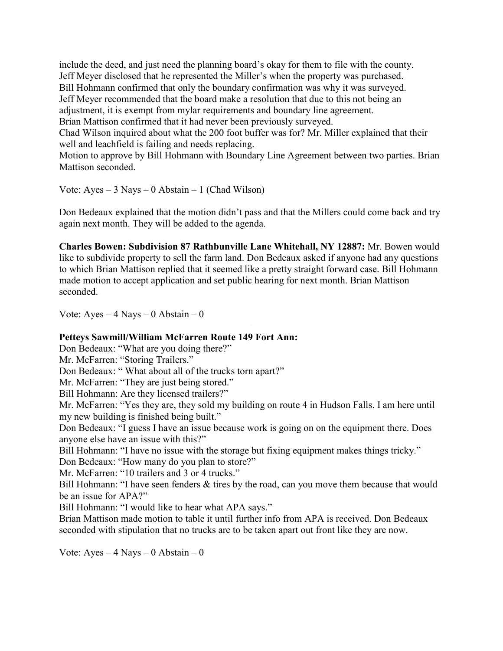include the deed, and just need the planning board's okay for them to file with the county. Jeff Meyer disclosed that he represented the Miller's when the property was purchased. Bill Hohmann confirmed that only the boundary confirmation was why it was surveyed. Jeff Meyer recommended that the board make a resolution that due to this not being an adjustment, it is exempt from mylar requirements and boundary line agreement. Brian Mattison confirmed that it had never been previously surveyed.

Chad Wilson inquired about what the 200 foot buffer was for? Mr. Miller explained that their well and leachfield is failing and needs replacing.

Motion to approve by Bill Hohmann with Boundary Line Agreement between two parties. Brian Mattison seconded.

Vote: Ayes  $-3$  Nays  $-0$  Abstain  $-1$  (Chad Wilson)

Don Bedeaux explained that the motion didn't pass and that the Millers could come back and try again next month. They will be added to the agenda.

**Charles Bowen: Subdivision 87 Rathbunville Lane Whitehall, NY 12887:** Mr. Bowen would like to subdivide property to sell the farm land. Don Bedeaux asked if anyone had any questions to which Brian Mattison replied that it seemed like a pretty straight forward case. Bill Hohmann made motion to accept application and set public hearing for next month. Brian Mattison seconded.

Vote:  $Ayes - 4$  Nays  $- 0$  Abstain  $- 0$ 

# **Petteys Sawmill/William McFarren Route 149 Fort Ann:**

Don Bedeaux: "What are you doing there?"

Mr. McFarren: "Storing Trailers."

Don Bedeaux: " What about all of the trucks torn apart?"

Mr. McFarren: "They are just being stored."

Bill Hohmann: Are they licensed trailers?"

Mr. McFarren: "Yes they are, they sold my building on route 4 in Hudson Falls. I am here until my new building is finished being built."

Don Bedeaux: "I guess I have an issue because work is going on on the equipment there. Does anyone else have an issue with this?"

Bill Hohmann: "I have no issue with the storage but fixing equipment makes things tricky."

Don Bedeaux: "How many do you plan to store?"

Mr. McFarren: "10 trailers and 3 or 4 trucks."

Bill Hohmann: "I have seen fenders & tires by the road, can you move them because that would be an issue for APA?"

Bill Hohmann: "I would like to hear what APA says."

Brian Mattison made motion to table it until further info from APA is received. Don Bedeaux seconded with stipulation that no trucks are to be taken apart out front like they are now.

Vote: Ayes – 4 Nays – 0 Abstain – 0